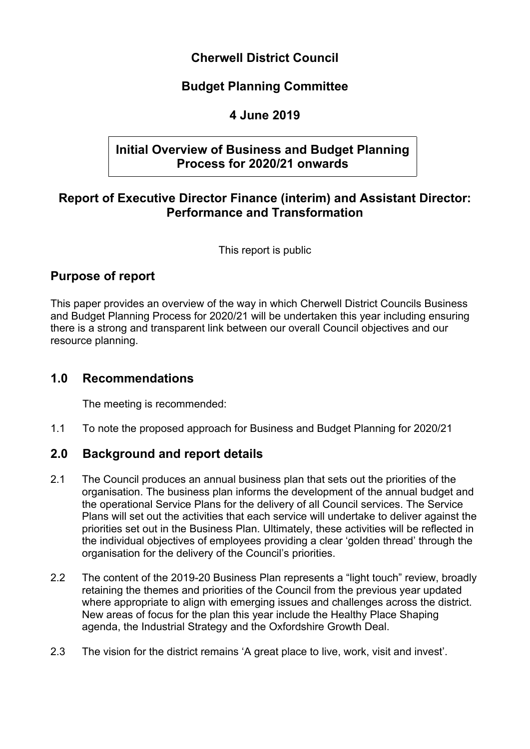# **Cherwell District Council**

# **Budget Planning Committee**

# **4 June 2019**

# **Initial Overview of Business and Budget Planning Process for 2020/21 onwards**

# **Report of Executive Director Finance (interim) and Assistant Director: Performance and Transformation**

This report is public

# **Purpose of report**

This paper provides an overview of the way in which Cherwell District Councils Business and Budget Planning Process for 2020/21 will be undertaken this year including ensuring there is a strong and transparent link between our overall Council objectives and our resource planning.

# **1.0 Recommendations**

The meeting is recommended:

1.1 To note the proposed approach for Business and Budget Planning for 2020/21

# **2.0 Background and report details**

- 2.1 The Council produces an annual business plan that sets out the priorities of the organisation. The business plan informs the development of the annual budget and the operational Service Plans for the delivery of all Council services. The Service Plans will set out the activities that each service will undertake to deliver against the priorities set out in the Business Plan. Ultimately, these activities will be reflected in the individual objectives of employees providing a clear 'golden thread' through the organisation for the delivery of the Council's priorities.
- 2.2 The content of the 2019-20 Business Plan represents a "light touch" review, broadly retaining the themes and priorities of the Council from the previous year updated where appropriate to align with emerging issues and challenges across the district. New areas of focus for the plan this year include the Healthy Place Shaping agenda, the Industrial Strategy and the Oxfordshire Growth Deal.
- 2.3 The vision for the district remains 'A great place to live, work, visit and invest'.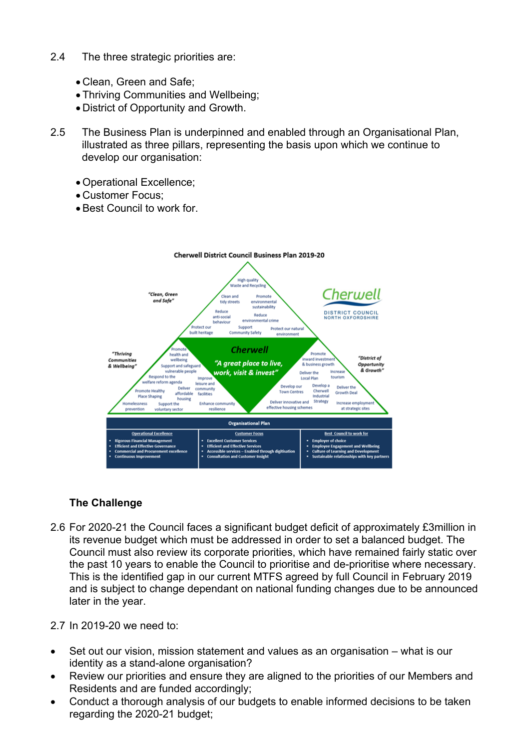- 2.4 The three strategic priorities are:
	- Clean, Green and Safe;
	- Thriving Communities and Wellbeing;
	- District of Opportunity and Growth.
- 2.5 The Business Plan is underpinned and enabled through an Organisational Plan, illustrated as three pillars, representing the basis upon which we continue to develop our organisation:
	- Operational Excellence;
	- Customer Focus;
	- Best Council to work for.



### **The Challenge**

- 2.6 For 2020-21 the Council faces a significant budget deficit of approximately £3million in its revenue budget which must be addressed in order to set a balanced budget. The Council must also review its corporate priorities, which have remained fairly static over the past 10 years to enable the Council to prioritise and de-prioritise where necessary. This is the identified gap in our current MTFS agreed by full Council in February 2019 and is subject to change dependant on national funding changes due to be announced later in the year.
- 2.7 In 2019-20 we need to:
- Set out our vision, mission statement and values as an organisation what is our identity as a stand-alone organisation?
- Review our priorities and ensure they are aligned to the priorities of our Members and Residents and are funded accordingly;
- Conduct a thorough analysis of our budgets to enable informed decisions to be taken regarding the 2020-21 budget;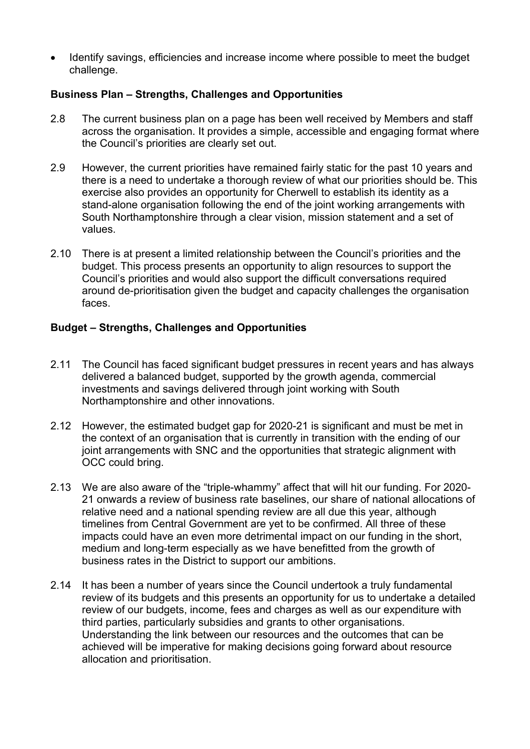Identify savings, efficiencies and increase income where possible to meet the budget challenge.

#### **Business Plan – Strengths, Challenges and Opportunities**

- 2.8 The current business plan on a page has been well received by Members and staff across the organisation. It provides a simple, accessible and engaging format where the Council's priorities are clearly set out.
- 2.9 However, the current priorities have remained fairly static for the past 10 years and there is a need to undertake a thorough review of what our priorities should be. This exercise also provides an opportunity for Cherwell to establish its identity as a stand-alone organisation following the end of the joint working arrangements with South Northamptonshire through a clear vision, mission statement and a set of values.
- 2.10 There is at present a limited relationship between the Council's priorities and the budget. This process presents an opportunity to align resources to support the Council's priorities and would also support the difficult conversations required around de-prioritisation given the budget and capacity challenges the organisation faces.

#### **Budget – Strengths, Challenges and Opportunities**

- 2.11 The Council has faced significant budget pressures in recent years and has always delivered a balanced budget, supported by the growth agenda, commercial investments and savings delivered through joint working with South Northamptonshire and other innovations.
- 2.12 However, the estimated budget gap for 2020-21 is significant and must be met in the context of an organisation that is currently in transition with the ending of our joint arrangements with SNC and the opportunities that strategic alignment with OCC could bring.
- 2.13 We are also aware of the "triple-whammy" affect that will hit our funding. For 2020- 21 onwards a review of business rate baselines, our share of national allocations of relative need and a national spending review are all due this year, although timelines from Central Government are yet to be confirmed. All three of these impacts could have an even more detrimental impact on our funding in the short, medium and long-term especially as we have benefitted from the growth of business rates in the District to support our ambitions.
- 2.14 It has been a number of years since the Council undertook a truly fundamental review of its budgets and this presents an opportunity for us to undertake a detailed review of our budgets, income, fees and charges as well as our expenditure with third parties, particularly subsidies and grants to other organisations. Understanding the link between our resources and the outcomes that can be achieved will be imperative for making decisions going forward about resource allocation and prioritisation.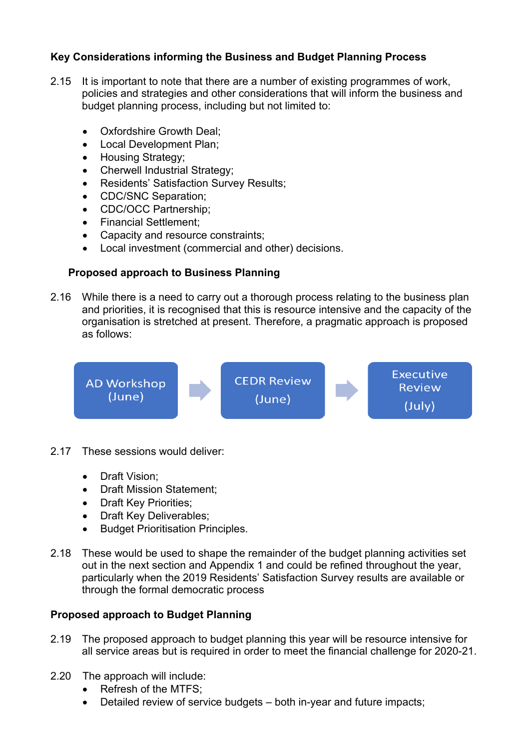### **Key Considerations informing the Business and Budget Planning Process**

- 2.15 It is important to note that there are a number of existing programmes of work, policies and strategies and other considerations that will inform the business and budget planning process, including but not limited to:
	- Oxfordshire Growth Deal;
	- Local Development Plan:
	- Housing Strategy;
	- Cherwell Industrial Strategy;
	- Residents' Satisfaction Survey Results;
	- CDC/SNC Separation;
	- CDC/OCC Partnership;
	- Financial Settlement:
	- Capacity and resource constraints;
	- Local investment (commercial and other) decisions.

## **Proposed approach to Business Planning**

2.16 While there is a need to carry out a thorough process relating to the business plan and priorities, it is recognised that this is resource intensive and the capacity of the organisation is stretched at present. Therefore, a pragmatic approach is proposed as follows:



- 2.17 These sessions would deliver:
	- Draft Vision;
	- Draft Mission Statement;
	- Draft Key Priorities;
	- Draft Key Deliverables;
	- Budget Prioritisation Principles.
- 2.18 These would be used to shape the remainder of the budget planning activities set out in the next section and Appendix 1 and could be refined throughout the year, particularly when the 2019 Residents' Satisfaction Survey results are available or through the formal democratic process

### **Proposed approach to Budget Planning**

- 2.19 The proposed approach to budget planning this year will be resource intensive for all service areas but is required in order to meet the financial challenge for 2020-21.
- 2.20 The approach will include:
	- Refresh of the MTFS;
	- Detailed review of service budgets both in-year and future impacts;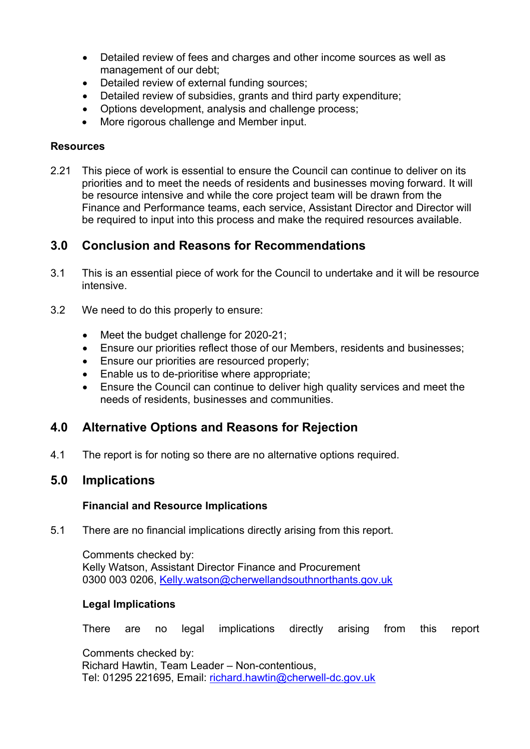- Detailed review of fees and charges and other income sources as well as management of our debt;
- Detailed review of external funding sources;
- Detailed review of subsidies, grants and third party expenditure;
- Options development, analysis and challenge process;
- More rigorous challenge and Member input.

#### **Resources**

2.21 This piece of work is essential to ensure the Council can continue to deliver on its priorities and to meet the needs of residents and businesses moving forward. It will be resource intensive and while the core project team will be drawn from the Finance and Performance teams, each service, Assistant Director and Director will be required to input into this process and make the required resources available.

# **3.0 Conclusion and Reasons for Recommendations**

- 3.1 This is an essential piece of work for the Council to undertake and it will be resource intensive.
- 3.2 We need to do this properly to ensure:
	- Meet the budget challenge for 2020-21;
	- Ensure our priorities reflect those of our Members, residents and businesses;
	- **Ensure our priorities are resourced properly;**
	- Enable us to de-prioritise where appropriate;
	- Ensure the Council can continue to deliver high quality services and meet the needs of residents, businesses and communities.

# **4.0 Alternative Options and Reasons for Rejection**

4.1 The report is for noting so there are no alternative options required.

### **5.0 Implications**

#### **Financial and Resource Implications**

5.1 There are no financial implications directly arising from this report.

Comments checked by: Kelly Watson, Assistant Director Finance and Procurement 0300 003 0206, [Kelly.watson@cherwellandsouthnorthants.gov.uk](mailto:Kelly.watson@cherwellandsouthnorthants.gov.uk)

#### **Legal Implications**

There are no legal implications directly arising from this report

Comments checked by: Richard Hawtin, Team Leader – Non-contentious, Tel: 01295 221695, Email: [richard.hawtin@cherwell-dc.gov.uk](mailto:richard.hawtin@cherwell-dc.gov.uk)